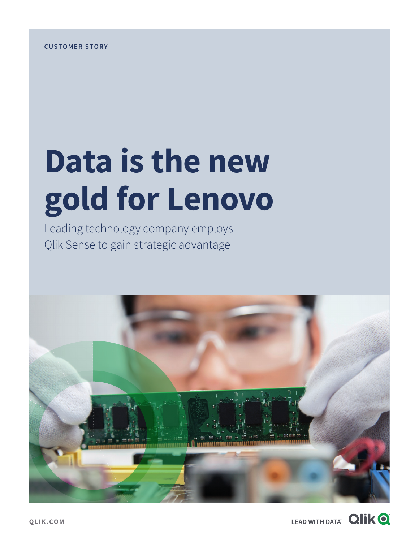# **Data is the new gold for Lenovo**

Leading technology company employs Qlik Sense to gain strategic advantage



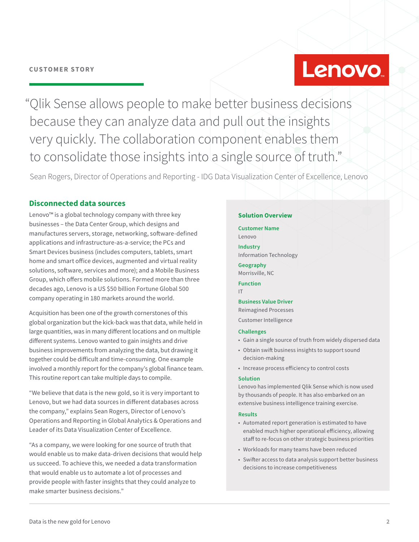# Lenovo.

"Qlik Sense allows people to make better business decisions because they can analyze data and pull out the insights very quickly. The collaboration component enables them to consolidate those insights into a single source of truth."

Sean Rogers, Director of Operations and Reporting - IDG Data Visualization Center of Excellence, Lenovo

#### **Disconnected data sources**

Lenovo™ is a global technology company with three key businesses – the Data Center Group, which designs and manufactures servers, storage, networking, software-defined applications and infrastructure-as-a-service; the PCs and Smart Devices business (includes computers, tablets, smart home and smart office devices, augmented and virtual reality solutions, software, services and more); and a Mobile Business Group, which offers mobile solutions. Formed more than three decades ago, Lenovo is a US \$50 billion Fortune Global 500 company operating in 180 markets around the world.

Acquisition has been one of the growth cornerstones of this global organization but the kick-back was that data, while held in large quantities, was in many different locations and on multiple different systems. Lenovo wanted to gain insights and drive business improvements from analyzing the data, but drawing it together could be difficult and time-consuming. One example involved a monthly report for the company's global finance team. This routine report can take multiple days to compile.

"We believe that data is the new gold, so it is very important to Lenovo, but we had data sources in different databases across the company," explains Sean Rogers, Director of Lenovo's Operations and Reporting in Global Analytics & Operations and Leader of its Data Visualization Center of Excellence.

"As a company, we were looking for one source of truth that would enable us to make data-driven decisions that would help us succeed. To achieve this, we needed a data transformation that would enable us to automate a lot of processes and provide people with faster insights that they could analyze to make smarter business decisions."

#### **Solution Overview**

#### **Customer Name**  Lenovo

**Industry** Information Technology

**Geography** Morrisville, NC

**Function** IT

#### **Business Value Driver**

Reimagined Processes

Customer Intelligence

#### **Challenges**

- Gain a single source of truth from widely dispersed data
- Obtain swift business insights to support sound decision-making
- Increase process efficiency to control costs

#### **Solution**

Lenovo has implemented Qlik Sense which is now used by thousands of people. It has also embarked on an extensive business intelligence training exercise.

#### **Results**

- Automated report generation is estimated to have enabled much higher operational efficiency, allowing staff to re-focus on other strategic business priorities
- Workloads for many teams have been reduced
- Swifter access to data analysis support better business decisions to increase competitiveness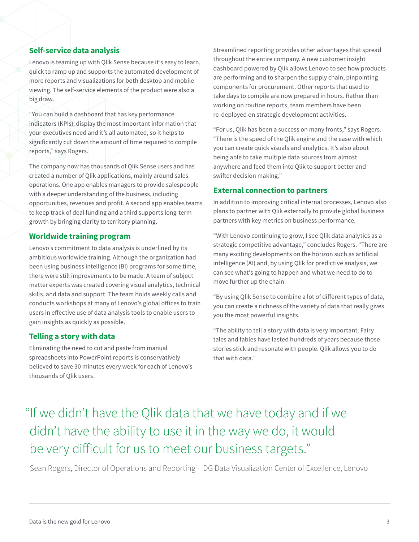#### **Self-service data analysis**

Lenovo is teaming up with Qlik Sense because it's easy to learn, quick to ramp up and supports the automated development of more reports and visualizations for both desktop and mobile viewing. The self-service elements of the product were also a big draw.

"You can build a dashboard that has key performance indicators (KPIs), display the most important information that your executives need and it's all automated, so it helps to significantly cut down the amount of time required to compile reports," says Rogers.

The company now has thousands of Qlik Sense users and has created a number of Qlik applications, mainly around sales operations. One app enables managers to provide salespeople with a deeper understanding of the business, including opportunities, revenues and profit. A second app enables teams to keep track of deal funding and a third supports long-term growth by bringing clarity to territory planning.

#### **Worldwide training program**

Lenovo's commitment to data analysis is underlined by its ambitious worldwide training. Although the organization had been using business intelligence (BI) programs for some time, there were still improvements to be made. A team of subject matter experts was created covering visual analytics, technical skills, and data and support. The team holds weekly calls and conducts workshops at many of Lenovo's global offices to train users in effective use of data analysis tools to enable users to gain insights as quickly as possible.

#### **Telling a story with data**

Eliminating the need to cut and paste from manual spreadsheets into PowerPoint reports is conservatively believed to save 30 minutes every week for each of Lenovo's thousands of Qlik users.

Streamlined reporting provides other advantages that spread throughout the entire company. A new customer insight dashboard powered by Qlik allows Lenovo to see how products are performing and to sharpen the supply chain, pinpointing components for procurement. Other reports that used to take days to compile are now prepared in hours. Rather than working on routine reports, team members have been re-deployed on strategic development activities.

"For us, Qlik has been a success on many fronts," says Rogers. "There is the speed of the Qlik engine and the ease with which you can create quick visuals and analytics. It's also about being able to take multiple data sources from almost anywhere and feed them into Qlik to support better and swifter decision making."

#### **External connection to partners**

In addition to improving critical internal processes, Lenovo also plans to partner with Qlik externally to provide global business partners with key metrics on business performance.

"With Lenovo continuing to grow, I see Qlik data analytics as a strategic competitive advantage," concludes Rogers. "There are many exciting developments on the horizon such as artificial intelligence (AI) and, by using Qlik for predictive analysis, we can see what's going to happen and what we need to do to move further up the chain.

"By using Qlik Sense to combine a lot of different types of data, you can create a richness of the variety of data that really gives you the most powerful insights.

"The ability to tell a story with data is very important. Fairy tales and fables have lasted hundreds of years because those stories stick and resonate with people. Qlik allows you to do that with data."

### "If we didn't have the Qlik data that we have today and if we didn't have the ability to use it in the way we do, it would be very difficult for us to meet our business targets."

Sean Rogers, Director of Operations and Reporting - IDG Data Visualization Center of Excellence, Lenovo